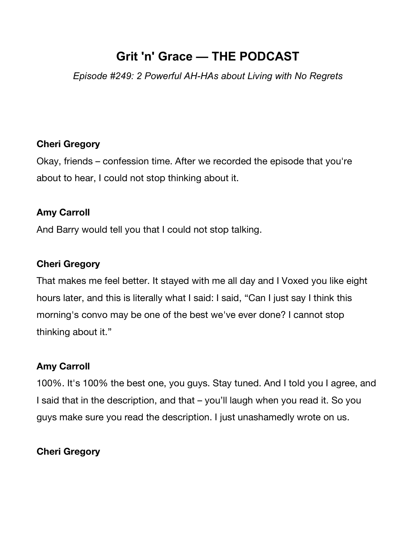# **Grit 'n' Grace — THE PODCAST**

*Episode #249: 2 Powerful AH-HAs about Living with No Regrets*

### **Cheri Gregory**

Okay, friends – confession time. After we recorded the episode that you're about to hear, I could not stop thinking about it.

#### **Amy Carroll**

And Barry would tell you that I could not stop talking.

#### **Cheri Gregory**

That makes me feel better. It stayed with me all day and I Voxed you like eight hours later, and this is literally what I said: I said, "Can I just say I think this morning's convo may be one of the best we've ever done? I cannot stop thinking about it."

### **Amy Carroll**

100%. It's 100% the best one, you guys. Stay tuned. And I told you I agree, and I said that in the description, and that – you'll laugh when you read it. So you guys make sure you read the description. I just unashamedly wrote on us.

### **Cheri Gregory**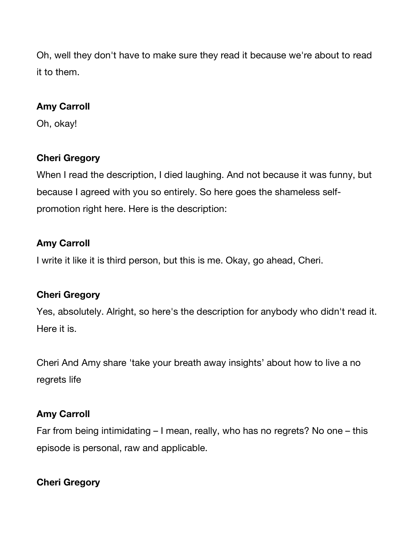Oh, well they don't have to make sure they read it because we're about to read it to them.

#### **Amy Carroll**

Oh, okay!

# **Cheri Gregory**

When I read the description, I died laughing. And not because it was funny, but because I agreed with you so entirely. So here goes the shameless selfpromotion right here. Here is the description:

### **Amy Carroll**

I write it like it is third person, but this is me. Okay, go ahead, Cheri.

### **Cheri Gregory**

Yes, absolutely. Alright, so here's the description for anybody who didn't read it. Here it is.

Cheri And Amy share 'take your breath away insights' about how to live a no regrets life

# **Amy Carroll**

Far from being intimidating – I mean, really, who has no regrets? No one – this episode is personal, raw and applicable.

# **Cheri Gregory**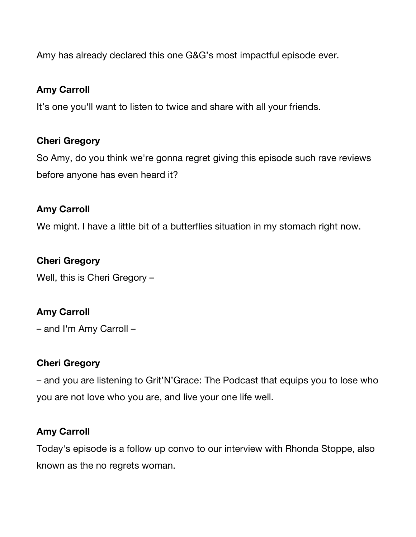Amy has already declared this one G&G's most impactful episode ever.

#### **Amy Carroll**

It's one you'll want to listen to twice and share with all your friends.

### **Cheri Gregory**

So Amy, do you think we're gonna regret giving this episode such rave reviews before anyone has even heard it?

### **Amy Carroll**

We might. I have a little bit of a butterflies situation in my stomach right now.

# **Cheri Gregory**

Well, this is Cheri Gregory –

### **Amy Carroll**

– and I'm Amy Carroll –

### **Cheri Gregory**

– and you are listening to Grit'N'Grace: The Podcast that equips you to lose who you are not love who you are, and live your one life well.

### **Amy Carroll**

Today's episode is a follow up convo to our interview with Rhonda Stoppe, also known as the no regrets woman.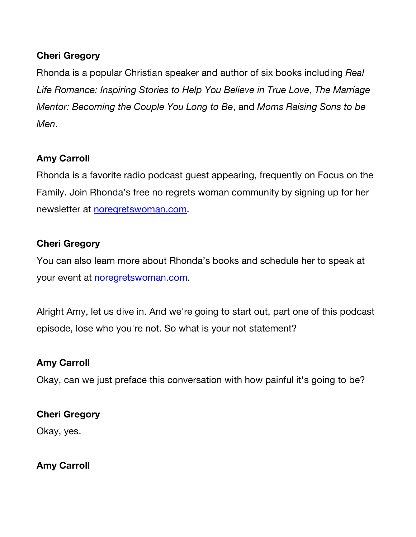# **Cheri Gregory**

Rhonda is a popular Christian speaker and author of six books including *Real Life Romance: Inspiring Stories to Help You Believe in True Love*, *The Marriage Mentor: Becoming the Couple You Long to Be*, and *Moms Raising Sons to be Men*.

### **Amy Carroll**

Rhonda is a favorite radio podcast guest appearing, frequently on Focus on the Family. Join Rhonda's free no regrets woman community by signing up for her newsletter at noregretswoman.com.

#### **Cheri Gregory**

You can also learn more about Rhonda's books and schedule her to speak at your event at noregretswoman.com.

Alright Amy, let us dive in. And we're going to start out, part one of this podcast episode, lose who you're not. So what is your not statement?

### **Amy Carroll**

Okay, can we just preface this conversation with how painful it's going to be?

#### **Cheri Gregory**

Okay, yes.

**Amy Carroll**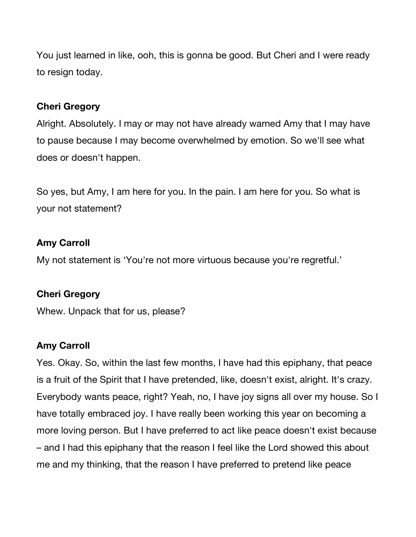You just learned in like, ooh, this is gonna be good. But Cheri and I were ready to resign today.

#### **Cheri Gregory**

Alright. Absolutely. I may or may not have already warned Amy that I may have to pause because I may become overwhelmed by emotion. So we'll see what does or doesn't happen.

So yes, but Amy, I am here for you. In the pain. I am here for you. So what is your not statement?

#### **Amy Carroll**

My not statement is 'You're not more virtuous because you're regretful.'

#### **Cheri Gregory**

Whew. Unpack that for us, please?

### **Amy Carroll**

Yes. Okay. So, within the last few months, I have had this epiphany, that peace is a fruit of the Spirit that I have pretended, like, doesn't exist, alright. It's crazy. Everybody wants peace, right? Yeah, no, I have joy signs all over my house. So I have totally embraced joy. I have really been working this year on becoming a more loving person. But I have preferred to act like peace doesn't exist because – and I had this epiphany that the reason I feel like the Lord showed this about me and my thinking, that the reason I have preferred to pretend like peace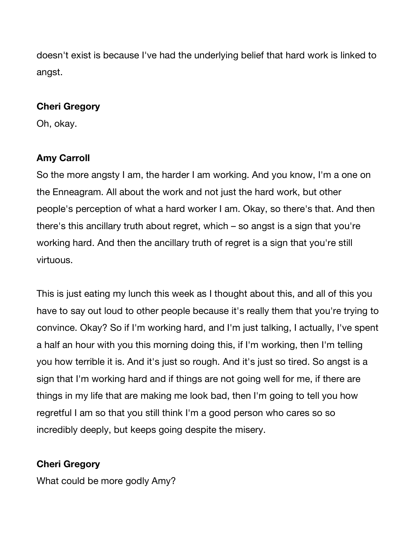doesn't exist is because I've had the underlying belief that hard work is linked to angst.

#### **Cheri Gregory**

Oh, okay.

# **Amy Carroll**

So the more angsty I am, the harder I am working. And you know, I'm a one on the Enneagram. All about the work and not just the hard work, but other people's perception of what a hard worker I am. Okay, so there's that. And then there's this ancillary truth about regret, which – so angst is a sign that you're working hard. And then the ancillary truth of regret is a sign that you're still virtuous.

This is just eating my lunch this week as I thought about this, and all of this you have to say out loud to other people because it's really them that you're trying to convince. Okay? So if I'm working hard, and I'm just talking, I actually, I've spent a half an hour with you this morning doing this, if I'm working, then I'm telling you how terrible it is. And it's just so rough. And it's just so tired. So angst is a sign that I'm working hard and if things are not going well for me, if there are things in my life that are making me look bad, then I'm going to tell you how regretful I am so that you still think I'm a good person who cares so so incredibly deeply, but keeps going despite the misery.

# **Cheri Gregory**

What could be more godly Amy?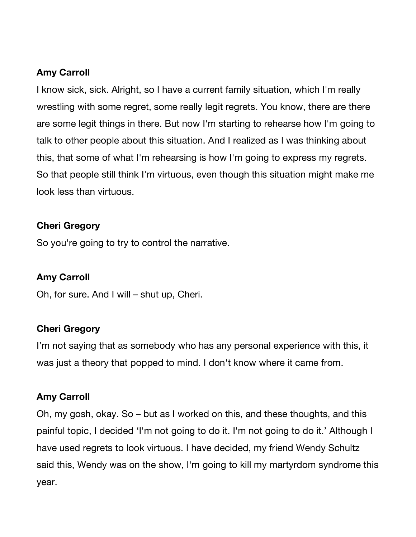#### **Amy Carroll**

I know sick, sick. Alright, so I have a current family situation, which I'm really wrestling with some regret, some really legit regrets. You know, there are there are some legit things in there. But now I'm starting to rehearse how I'm going to talk to other people about this situation. And I realized as I was thinking about this, that some of what I'm rehearsing is how I'm going to express my regrets. So that people still think I'm virtuous, even though this situation might make me look less than virtuous.

#### **Cheri Gregory**

So you're going to try to control the narrative.

### **Amy Carroll**

Oh, for sure. And I will – shut up, Cheri.

#### **Cheri Gregory**

I'm not saying that as somebody who has any personal experience with this, it was just a theory that popped to mind. I don't know where it came from.

#### **Amy Carroll**

Oh, my gosh, okay. So – but as I worked on this, and these thoughts, and this painful topic, I decided 'I'm not going to do it. I'm not going to do it.' Although I have used regrets to look virtuous. I have decided, my friend Wendy Schultz said this, Wendy was on the show, I'm going to kill my martyrdom syndrome this year.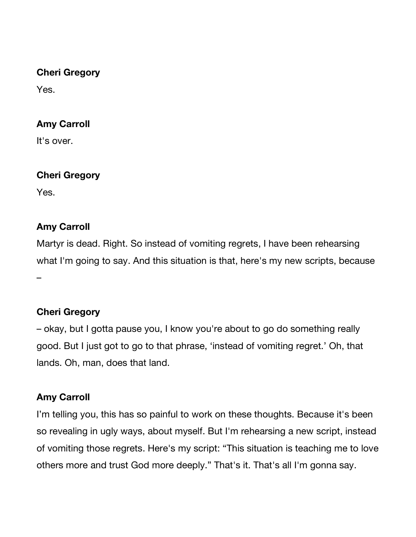#### **Cheri Gregory**

Yes.

# **Amy Carroll**

It's over.

### **Cheri Gregory**

Yes.

# **Amy Carroll**

Martyr is dead. Right. So instead of vomiting regrets, I have been rehearsing what I'm going to say. And this situation is that, here's my new scripts, because –

# **Cheri Gregory**

– okay, but I gotta pause you, I know you're about to go do something really good. But I just got to go to that phrase, 'instead of vomiting regret.' Oh, that lands. Oh, man, does that land.

### **Amy Carroll**

I'm telling you, this has so painful to work on these thoughts. Because it's been so revealing in ugly ways, about myself. But I'm rehearsing a new script, instead of vomiting those regrets. Here's my script: "This situation is teaching me to love others more and trust God more deeply." That's it. That's all I'm gonna say.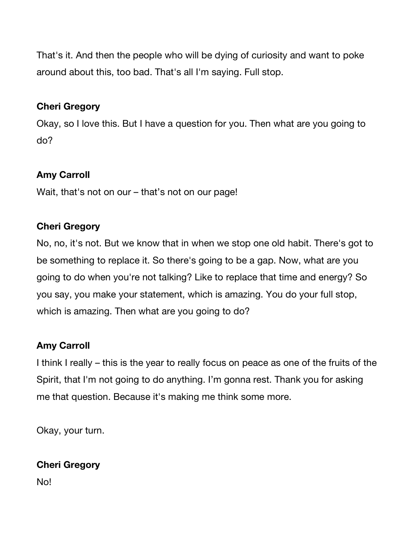That's it. And then the people who will be dying of curiosity and want to poke around about this, too bad. That's all I'm saying. Full stop.

### **Cheri Gregory**

Okay, so I love this. But I have a question for you. Then what are you going to do?

# **Amy Carroll**

Wait, that's not on our – that's not on our page!

# **Cheri Gregory**

No, no, it's not. But we know that in when we stop one old habit. There's got to be something to replace it. So there's going to be a gap. Now, what are you going to do when you're not talking? Like to replace that time and energy? So you say, you make your statement, which is amazing. You do your full stop, which is amazing. Then what are you going to do?

# **Amy Carroll**

I think I really – this is the year to really focus on peace as one of the fruits of the Spirit, that I'm not going to do anything. I'm gonna rest. Thank you for asking me that question. Because it's making me think some more.

Okay, your turn.

### **Cheri Gregory**

No!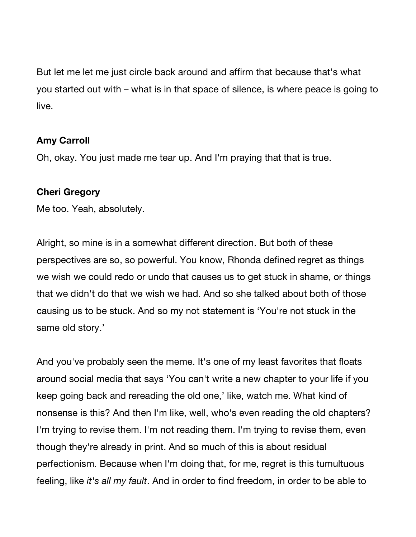But let me let me just circle back around and affirm that because that's what you started out with – what is in that space of silence, is where peace is going to live.

#### **Amy Carroll**

Oh, okay. You just made me tear up. And I'm praying that that is true.

#### **Cheri Gregory**

Me too. Yeah, absolutely.

Alright, so mine is in a somewhat different direction. But both of these perspectives are so, so powerful. You know, Rhonda defined regret as things we wish we could redo or undo that causes us to get stuck in shame, or things that we didn't do that we wish we had. And so she talked about both of those causing us to be stuck. And so my not statement is 'You're not stuck in the same old story.'

And you've probably seen the meme. It's one of my least favorites that floats around social media that says 'You can't write a new chapter to your life if you keep going back and rereading the old one,' like, watch me. What kind of nonsense is this? And then I'm like, well, who's even reading the old chapters? I'm trying to revise them. I'm not reading them. I'm trying to revise them, even though they're already in print. And so much of this is about residual perfectionism. Because when I'm doing that, for me, regret is this tumultuous feeling, like *it's all my fault*. And in order to find freedom, in order to be able to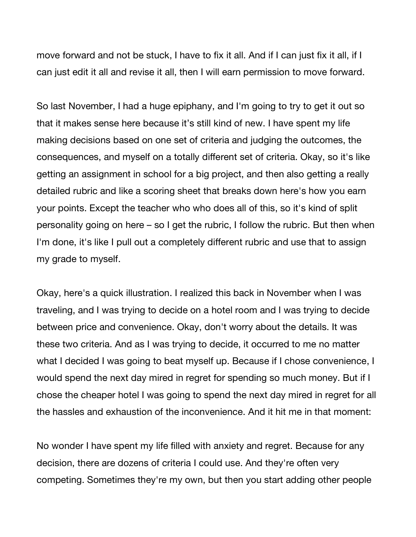move forward and not be stuck, I have to fix it all. And if I can just fix it all, if I can just edit it all and revise it all, then I will earn permission to move forward.

So last November, I had a huge epiphany, and I'm going to try to get it out so that it makes sense here because it's still kind of new. I have spent my life making decisions based on one set of criteria and judging the outcomes, the consequences, and myself on a totally different set of criteria. Okay, so it's like getting an assignment in school for a big project, and then also getting a really detailed rubric and like a scoring sheet that breaks down here's how you earn your points. Except the teacher who who does all of this, so it's kind of split personality going on here – so I get the rubric, I follow the rubric. But then when I'm done, it's like I pull out a completely different rubric and use that to assign my grade to myself.

Okay, here's a quick illustration. I realized this back in November when I was traveling, and I was trying to decide on a hotel room and I was trying to decide between price and convenience. Okay, don't worry about the details. It was these two criteria. And as I was trying to decide, it occurred to me no matter what I decided I was going to beat myself up. Because if I chose convenience, I would spend the next day mired in regret for spending so much money. But if I chose the cheaper hotel I was going to spend the next day mired in regret for all the hassles and exhaustion of the inconvenience. And it hit me in that moment:

No wonder I have spent my life filled with anxiety and regret. Because for any decision, there are dozens of criteria I could use. And they're often very competing. Sometimes they're my own, but then you start adding other people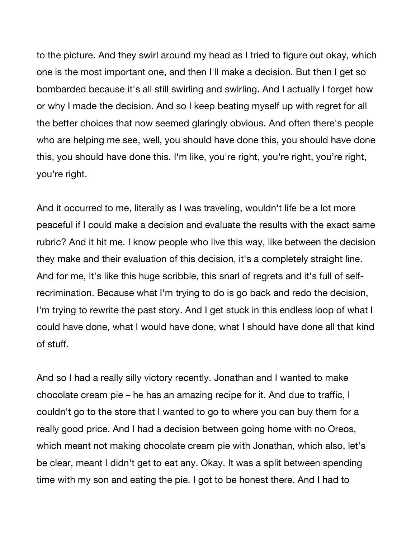to the picture. And they swirl around my head as I tried to figure out okay, which one is the most important one, and then I'll make a decision. But then I get so bombarded because it's all still swirling and swirling. And I actually I forget how or why I made the decision. And so I keep beating myself up with regret for all the better choices that now seemed glaringly obvious. And often there's people who are helping me see, well, you should have done this, you should have done this, you should have done this. I'm like, you're right, you're right, you're right, you're right.

And it occurred to me, literally as I was traveling, wouldn't life be a lot more peaceful if I could make a decision and evaluate the results with the exact same rubric? And it hit me. I know people who live this way, like between the decision they make and their evaluation of this decision, it's a completely straight line. And for me, it's like this huge scribble, this snarl of regrets and it's full of selfrecrimination. Because what I'm trying to do is go back and redo the decision, I'm trying to rewrite the past story. And I get stuck in this endless loop of what I could have done, what I would have done, what I should have done all that kind of stuff.

And so I had a really silly victory recently. Jonathan and I wanted to make chocolate cream pie – he has an amazing recipe for it. And due to traffic, I couldn't go to the store that I wanted to go to where you can buy them for a really good price. And I had a decision between going home with no Oreos, which meant not making chocolate cream pie with Jonathan, which also, let's be clear, meant I didn't get to eat any. Okay. It was a split between spending time with my son and eating the pie. I got to be honest there. And I had to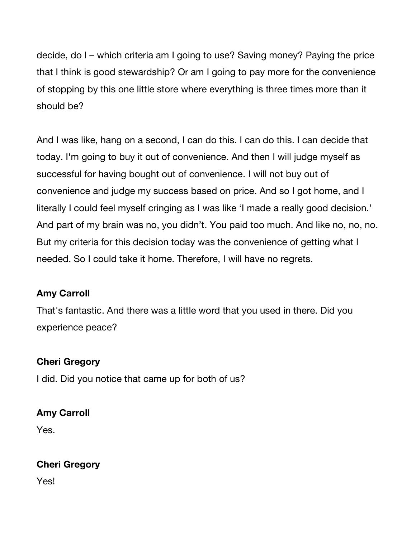decide, do I – which criteria am I going to use? Saving money? Paying the price that I think is good stewardship? Or am I going to pay more for the convenience of stopping by this one little store where everything is three times more than it should be?

And I was like, hang on a second, I can do this. I can do this. I can decide that today. I'm going to buy it out of convenience. And then I will judge myself as successful for having bought out of convenience. I will not buy out of convenience and judge my success based on price. And so I got home, and I literally I could feel myself cringing as I was like 'I made a really good decision.' And part of my brain was no, you didn't. You paid too much. And like no, no, no. But my criteria for this decision today was the convenience of getting what I needed. So I could take it home. Therefore, I will have no regrets.

### **Amy Carroll**

That's fantastic. And there was a little word that you used in there. Did you experience peace?

### **Cheri Gregory**

I did. Did you notice that came up for both of us?

### **Amy Carroll**

Yes.

### **Cheri Gregory**

Yes!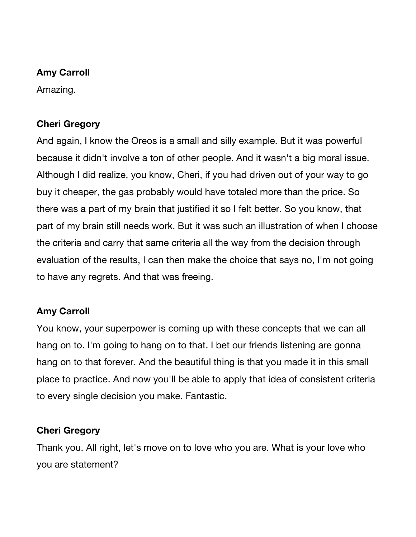#### **Amy Carroll**

Amazing.

### **Cheri Gregory**

And again, I know the Oreos is a small and silly example. But it was powerful because it didn't involve a ton of other people. And it wasn't a big moral issue. Although I did realize, you know, Cheri, if you had driven out of your way to go buy it cheaper, the gas probably would have totaled more than the price. So there was a part of my brain that justified it so I felt better. So you know, that part of my brain still needs work. But it was such an illustration of when I choose the criteria and carry that same criteria all the way from the decision through evaluation of the results, I can then make the choice that says no, I'm not going to have any regrets. And that was freeing.

### **Amy Carroll**

You know, your superpower is coming up with these concepts that we can all hang on to. I'm going to hang on to that. I bet our friends listening are gonna hang on to that forever. And the beautiful thing is that you made it in this small place to practice. And now you'll be able to apply that idea of consistent criteria to every single decision you make. Fantastic.

### **Cheri Gregory**

Thank you. All right, let's move on to love who you are. What is your love who you are statement?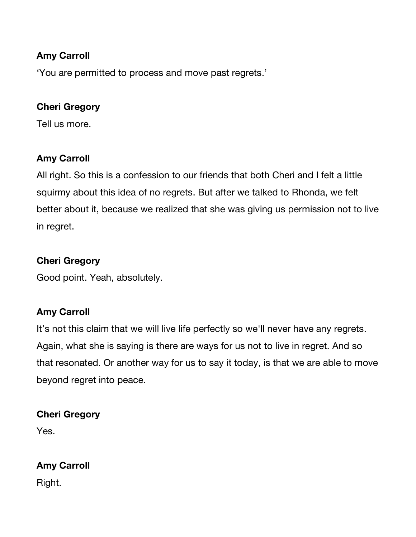### **Amy Carroll**

'You are permitted to process and move past regrets.'

### **Cheri Gregory**

Tell us more.

# **Amy Carroll**

All right. So this is a confession to our friends that both Cheri and I felt a little squirmy about this idea of no regrets. But after we talked to Rhonda, we felt better about it, because we realized that she was giving us permission not to live in regret.

# **Cheri Gregory**

Good point. Yeah, absolutely.

### **Amy Carroll**

It's not this claim that we will live life perfectly so we'll never have any regrets. Again, what she is saying is there are ways for us not to live in regret. And so that resonated. Or another way for us to say it today, is that we are able to move beyond regret into peace.

### **Cheri Gregory**

Yes.

### **Amy Carroll**

Right.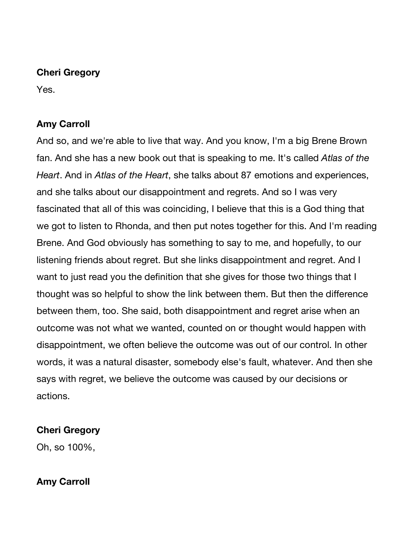#### **Cheri Gregory**

Yes.

# **Amy Carroll**

And so, and we're able to live that way. And you know, I'm a big Brene Brown fan. And she has a new book out that is speaking to me. It's called *Atlas of the Heart*. And in *Atlas of the Heart*, she talks about 87 emotions and experiences, and she talks about our disappointment and regrets. And so I was very fascinated that all of this was coinciding, I believe that this is a God thing that we got to listen to Rhonda, and then put notes together for this. And I'm reading Brene. And God obviously has something to say to me, and hopefully, to our listening friends about regret. But she links disappointment and regret. And I want to just read you the definition that she gives for those two things that I thought was so helpful to show the link between them. But then the difference between them, too. She said, both disappointment and regret arise when an outcome was not what we wanted, counted on or thought would happen with disappointment, we often believe the outcome was out of our control. In other words, it was a natural disaster, somebody else's fault, whatever. And then she says with regret, we believe the outcome was caused by our decisions or actions.

### **Cheri Gregory**

Oh, so 100%,

# **Amy Carroll**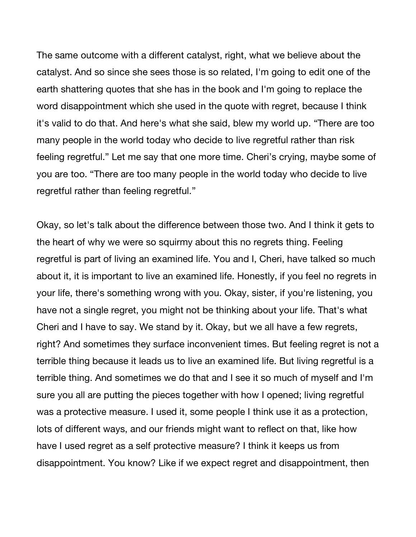The same outcome with a different catalyst, right, what we believe about the catalyst. And so since she sees those is so related, I'm going to edit one of the earth shattering quotes that she has in the book and I'm going to replace the word disappointment which she used in the quote with regret, because I think it's valid to do that. And here's what she said, blew my world up. "There are too many people in the world today who decide to live regretful rather than risk feeling regretful." Let me say that one more time. Cheri's crying, maybe some of you are too. "There are too many people in the world today who decide to live regretful rather than feeling regretful."

Okay, so let's talk about the difference between those two. And I think it gets to the heart of why we were so squirmy about this no regrets thing. Feeling regretful is part of living an examined life. You and I, Cheri, have talked so much about it, it is important to live an examined life. Honestly, if you feel no regrets in your life, there's something wrong with you. Okay, sister, if you're listening, you have not a single regret, you might not be thinking about your life. That's what Cheri and I have to say. We stand by it. Okay, but we all have a few regrets, right? And sometimes they surface inconvenient times. But feeling regret is not a terrible thing because it leads us to live an examined life. But living regretful is a terrible thing. And sometimes we do that and I see it so much of myself and I'm sure you all are putting the pieces together with how I opened; living regretful was a protective measure. I used it, some people I think use it as a protection, lots of different ways, and our friends might want to reflect on that, like how have I used regret as a self protective measure? I think it keeps us from disappointment. You know? Like if we expect regret and disappointment, then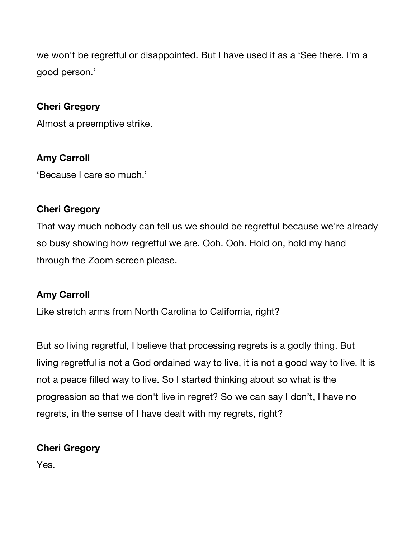we won't be regretful or disappointed. But I have used it as a 'See there. I'm a good person.'

### **Cheri Gregory**

Almost a preemptive strike.

#### **Amy Carroll**

'Because I care so much.'

#### **Cheri Gregory**

That way much nobody can tell us we should be regretful because we're already so busy showing how regretful we are. Ooh. Ooh. Hold on, hold my hand through the Zoom screen please.

#### **Amy Carroll**

Like stretch arms from North Carolina to California, right?

But so living regretful, I believe that processing regrets is a godly thing. But living regretful is not a God ordained way to live, it is not a good way to live. It is not a peace filled way to live. So I started thinking about so what is the progression so that we don't live in regret? So we can say I don't, I have no regrets, in the sense of I have dealt with my regrets, right?

### **Cheri Gregory**

Yes.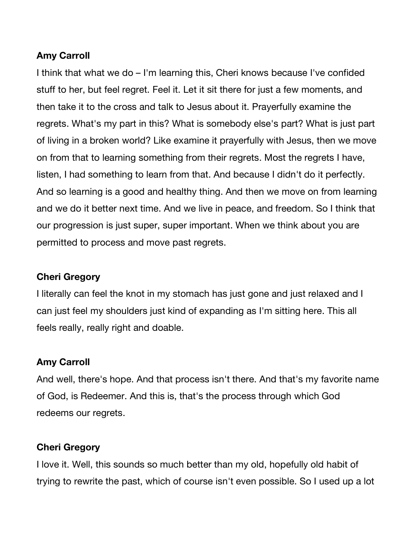### **Amy Carroll**

I think that what we do – I'm learning this, Cheri knows because I've confided stuff to her, but feel regret. Feel it. Let it sit there for just a few moments, and then take it to the cross and talk to Jesus about it. Prayerfully examine the regrets. What's my part in this? What is somebody else's part? What is just part of living in a broken world? Like examine it prayerfully with Jesus, then we move on from that to learning something from their regrets. Most the regrets I have, listen, I had something to learn from that. And because I didn't do it perfectly. And so learning is a good and healthy thing. And then we move on from learning and we do it better next time. And we live in peace, and freedom. So I think that our progression is just super, super important. When we think about you are permitted to process and move past regrets.

#### **Cheri Gregory**

I literally can feel the knot in my stomach has just gone and just relaxed and I can just feel my shoulders just kind of expanding as I'm sitting here. This all feels really, really right and doable.

#### **Amy Carroll**

And well, there's hope. And that process isn't there. And that's my favorite name of God, is Redeemer. And this is, that's the process through which God redeems our regrets.

#### **Cheri Gregory**

I love it. Well, this sounds so much better than my old, hopefully old habit of trying to rewrite the past, which of course isn't even possible. So I used up a lot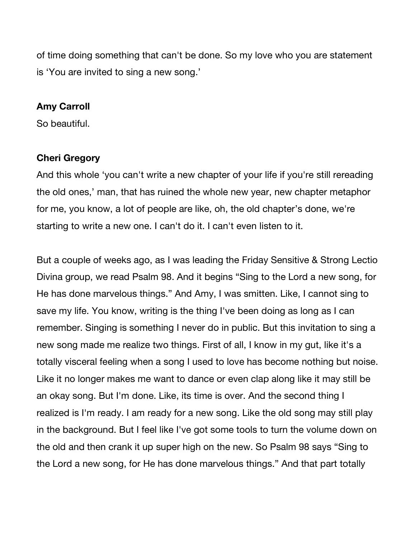of time doing something that can't be done. So my love who you are statement is 'You are invited to sing a new song.'

#### **Amy Carroll**

So beautiful.

#### **Cheri Gregory**

And this whole 'you can't write a new chapter of your life if you're still rereading the old ones,' man, that has ruined the whole new year, new chapter metaphor for me, you know, a lot of people are like, oh, the old chapter's done, we're starting to write a new one. I can't do it. I can't even listen to it.

But a couple of weeks ago, as I was leading the Friday Sensitive & Strong Lectio Divina group, we read Psalm 98. And it begins "Sing to the Lord a new song, for He has done marvelous things." And Amy, I was smitten. Like, I cannot sing to save my life. You know, writing is the thing I've been doing as long as I can remember. Singing is something I never do in public. But this invitation to sing a new song made me realize two things. First of all, I know in my gut, like it's a totally visceral feeling when a song I used to love has become nothing but noise. Like it no longer makes me want to dance or even clap along like it may still be an okay song. But I'm done. Like, its time is over. And the second thing I realized is I'm ready. I am ready for a new song. Like the old song may still play in the background. But I feel like I've got some tools to turn the volume down on the old and then crank it up super high on the new. So Psalm 98 says "Sing to the Lord a new song, for He has done marvelous things." And that part totally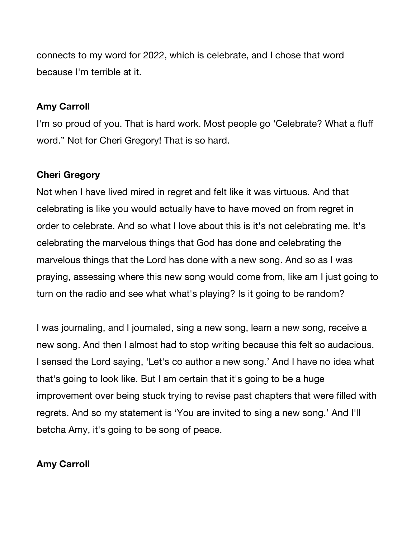connects to my word for 2022, which is celebrate, and I chose that word because I'm terrible at it.

#### **Amy Carroll**

I'm so proud of you. That is hard work. Most people go 'Celebrate? What a fluff word." Not for Cheri Gregory! That is so hard.

### **Cheri Gregory**

Not when I have lived mired in regret and felt like it was virtuous. And that celebrating is like you would actually have to have moved on from regret in order to celebrate. And so what I love about this is it's not celebrating me. It's celebrating the marvelous things that God has done and celebrating the marvelous things that the Lord has done with a new song. And so as I was praying, assessing where this new song would come from, like am I just going to turn on the radio and see what what's playing? Is it going to be random?

I was journaling, and I journaled, sing a new song, learn a new song, receive a new song. And then I almost had to stop writing because this felt so audacious. I sensed the Lord saying, 'Let's co author a new song.' And I have no idea what that's going to look like. But I am certain that it's going to be a huge improvement over being stuck trying to revise past chapters that were filled with regrets. And so my statement is 'You are invited to sing a new song.' And I'll betcha Amy, it's going to be song of peace.

### **Amy Carroll**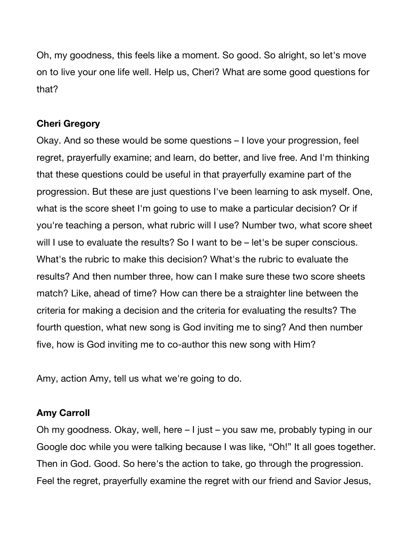Oh, my goodness, this feels like a moment. So good. So alright, so let's move on to live your one life well. Help us, Cheri? What are some good questions for that?

#### **Cheri Gregory**

Okay. And so these would be some questions – I love your progression, feel regret, prayerfully examine; and learn, do better, and live free. And I'm thinking that these questions could be useful in that prayerfully examine part of the progression. But these are just questions I've been learning to ask myself. One, what is the score sheet I'm going to use to make a particular decision? Or if you're teaching a person, what rubric will I use? Number two, what score sheet will I use to evaluate the results? So I want to be – let's be super conscious. What's the rubric to make this decision? What's the rubric to evaluate the results? And then number three, how can I make sure these two score sheets match? Like, ahead of time? How can there be a straighter line between the criteria for making a decision and the criteria for evaluating the results? The fourth question, what new song is God inviting me to sing? And then number five, how is God inviting me to co-author this new song with Him?

Amy, action Amy, tell us what we're going to do.

#### **Amy Carroll**

Oh my goodness. Okay, well, here – I just – you saw me, probably typing in our Google doc while you were talking because I was like, "Oh!" It all goes together. Then in God. Good. So here's the action to take, go through the progression. Feel the regret, prayerfully examine the regret with our friend and Savior Jesus,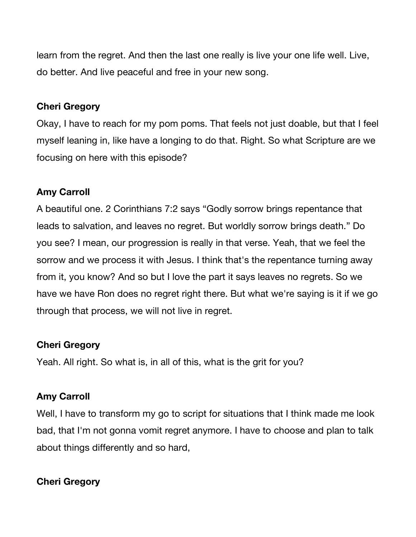learn from the regret. And then the last one really is live your one life well. Live, do better. And live peaceful and free in your new song.

#### **Cheri Gregory**

Okay, I have to reach for my pom poms. That feels not just doable, but that I feel myself leaning in, like have a longing to do that. Right. So what Scripture are we focusing on here with this episode?

# **Amy Carroll**

A beautiful one. 2 Corinthians 7:2 says "Godly sorrow brings repentance that leads to salvation, and leaves no regret. But worldly sorrow brings death." Do you see? I mean, our progression is really in that verse. Yeah, that we feel the sorrow and we process it with Jesus. I think that's the repentance turning away from it, you know? And so but I love the part it says leaves no regrets. So we have we have Ron does no regret right there. But what we're saying is it if we go through that process, we will not live in regret.

### **Cheri Gregory**

Yeah. All right. So what is, in all of this, what is the grit for you?

### **Amy Carroll**

Well, I have to transform my go to script for situations that I think made me look bad, that I'm not gonna vomit regret anymore. I have to choose and plan to talk about things differently and so hard,

### **Cheri Gregory**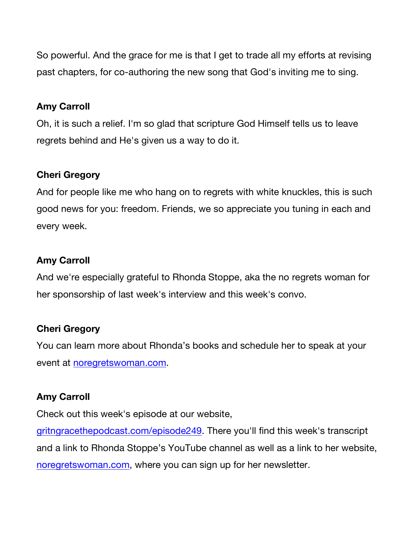So powerful. And the grace for me is that I get to trade all my efforts at revising past chapters, for co-authoring the new song that God's inviting me to sing.

#### **Amy Carroll**

Oh, it is such a relief. I'm so glad that scripture God Himself tells us to leave regrets behind and He's given us a way to do it.

### **Cheri Gregory**

And for people like me who hang on to regrets with white knuckles, this is such good news for you: freedom. Friends, we so appreciate you tuning in each and every week.

### **Amy Carroll**

And we're especially grateful to Rhonda Stoppe, aka the no regrets woman for her sponsorship of last week's interview and this week's convo.

### **Cheri Gregory**

You can learn more about Rhonda's books and schedule her to speak at your event at noregretswoman.com.

### **Amy Carroll**

Check out this week's episode at our website,

gritngracethepodcast.com/episode249. There you'll find this week's transcript and a link to Rhonda Stoppe's YouTube channel as well as a link to her website, noregretswoman.com, where you can sign up for her newsletter.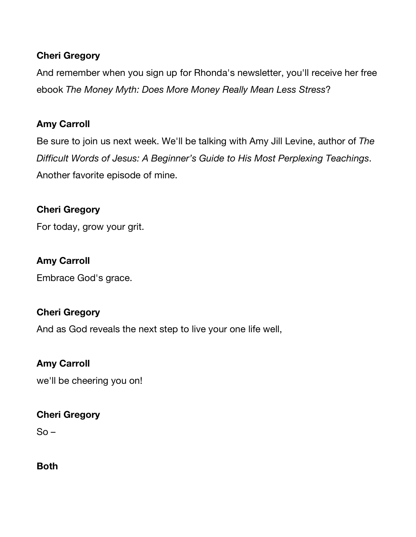### **Cheri Gregory**

And remember when you sign up for Rhonda's newsletter, you'll receive her free ebook *The Money Myth: Does More Money Really Mean Less Stress*?

# **Amy Carroll**

Be sure to join us next week. We'll be talking with Amy Jill Levine, author of *The Difficult Words of Jesus: A Beginner's Guide to His Most Perplexing Teachings*. Another favorite episode of mine.

### **Cheri Gregory**

For today, grow your grit.

### **Amy Carroll**

Embrace God's grace.

### **Cheri Gregory**

And as God reveals the next step to live your one life well,

### **Amy Carroll**

we'll be cheering you on!

### **Cheri Gregory**

 $So -$ 

**Both**